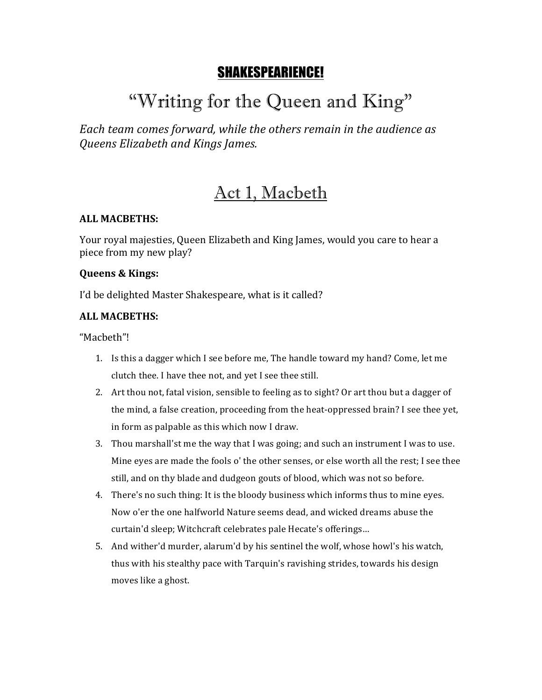### SHAKESPEARIENCE!

# "Writing for the Queen and King"

Each team comes forward, while the others remain in the audience as *Queens Elizabeth and Kings James.*

### Act 1, Macbeth

### **ALL MACBETHS:**

Your royal majesties, Queen Elizabeth and King James, would you care to hear a piece from my new play?

#### **Queens & Kings:**

I'd be delighted Master Shakespeare, what is it called?

### **ALL MACBETHS:**

"Macbeth"!

- 1. Is this a dagger which I see before me, The handle toward my hand? Come, let me clutch thee. I have thee not, and yet I see thee still.
- 2. Art thou not, fatal vision, sensible to feeling as to sight? Or art thou but a dagger of the mind, a false creation, proceeding from the heat-oppressed brain? I see thee yet, in form as palpable as this which now I draw.
- 3. Thou marshall'st me the way that I was going; and such an instrument I was to use. Mine eyes are made the fools o' the other senses, or else worth all the rest; I see thee still, and on thy blade and dudgeon gouts of blood, which was not so before.
- 4. There's no such thing: It is the bloody business which informs thus to mine eyes. Now o'er the one halfworld Nature seems dead, and wicked dreams abuse the curtain'd sleep; Witchcraft celebrates pale Hecate's offerings...
- 5. And wither'd murder, alarum'd by his sentinel the wolf, whose howl's his watch, thus with his stealthy pace with Tarquin's ravishing strides, towards his design moves like a ghost.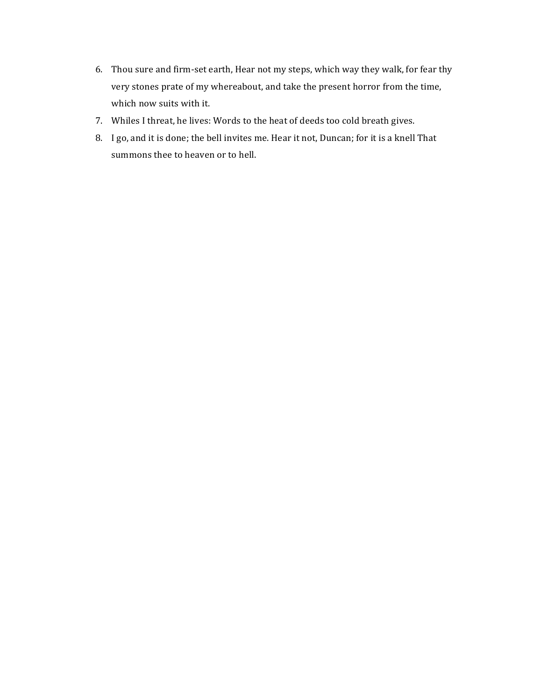- 6. Thou sure and firm-set earth, Hear not my steps, which way they walk, for fear thy very stones prate of my whereabout, and take the present horror from the time, which now suits with it.
- 7. Whiles I threat, he lives: Words to the heat of deeds too cold breath gives.
- 8. I go, and it is done; the bell invites me. Hear it not, Duncan; for it is a knell That summons thee to heaven or to hell.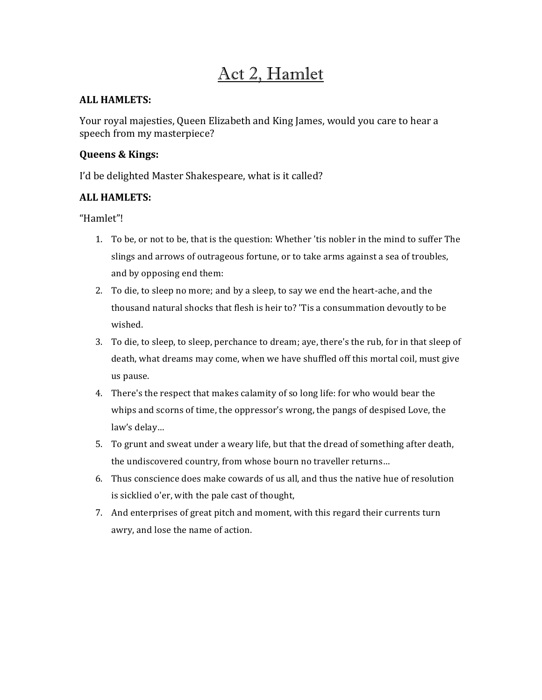### Act 2, Hamlet

### **ALL HAMLETS:**

Your royal majesties, Queen Elizabeth and King James, would you care to hear a speech from my masterpiece?

### **Queens & Kings:**

I'd be delighted Master Shakespeare, what is it called?

### **ALL HAMLETS:**

"Hamlet"!

- 1. To be, or not to be, that is the question: Whether 'tis nobler in the mind to suffer The slings and arrows of outrageous fortune, or to take arms against a sea of troubles, and by opposing end them:
- 2. To die, to sleep no more; and by a sleep, to say we end the heart-ache, and the thousand natural shocks that flesh is heir to? 'Tis a consummation devoutly to be wished.
- 3. To die, to sleep, to sleep, perchance to dream; aye, there's the rub, for in that sleep of death, what dreams may come, when we have shuffled off this mortal coil, must give us pause.
- 4. There's the respect that makes calamity of so long life: for who would bear the whips and scorns of time, the oppressor's wrong, the pangs of despised Love, the law's delay...
- 5. To grunt and sweat under a weary life, but that the dread of something after death, the undiscovered country, from whose bourn no traveller returns...
- 6. Thus conscience does make cowards of us all, and thus the native hue of resolution is sicklied o'er, with the pale cast of thought,
- 7. And enterprises of great pitch and moment, with this regard their currents turn awry, and lose the name of action.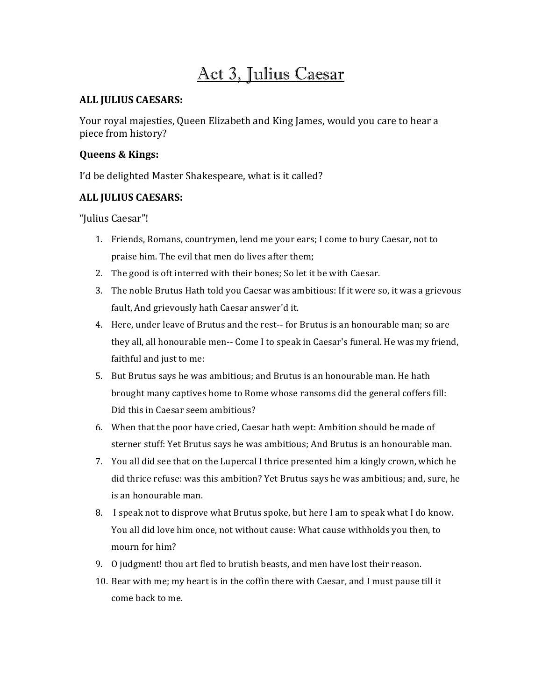### Act 3, Julius Caesar

### **ALL JULIUS CAESARS:**

Your royal majesties, Queen Elizabeth and King James, would you care to hear a piece from history?

### **Queens & Kings:**

I'd be delighted Master Shakespeare, what is it called?

### **ALL JULIUS CAESARS:**

"Julius Caesar"!

- 1. Friends, Romans, countrymen, lend me your ears; I come to bury Caesar, not to praise him. The evil that men do lives after them;
- 2. The good is oft interred with their bones; So let it be with Caesar.
- 3. The noble Brutus Hath told you Caesar was ambitious: If it were so, it was a grievous fault. And grievously hath Caesar answer'd it.
- 4. Here, under leave of Brutus and the rest-- for Brutus is an honourable man; so are they all, all honourable men-- Come I to speak in Caesar's funeral. He was my friend, faithful and just to me:
- 5. But Brutus says he was ambitious; and Brutus is an honourable man. He hath brought many captives home to Rome whose ransoms did the general coffers fill: Did this in Caesar seem ambitious?
- 6. When that the poor have cried, Caesar hath wept: Ambition should be made of sterner stuff: Yet Brutus says he was ambitious; And Brutus is an honourable man.
- 7. You all did see that on the Lupercal I thrice presented him a kingly crown, which he did thrice refuse: was this ambition? Yet Brutus says he was ambitious; and, sure, he is an honourable man.
- 8. I speak not to disprove what Brutus spoke, but here I am to speak what I do know. You all did love him once, not without cause: What cause withholds you then, to mourn for him?
- 9. O judgment! thou art fled to brutish beasts, and men have lost their reason.
- 10. Bear with me; my heart is in the coffin there with Caesar, and I must pause till it come back to me.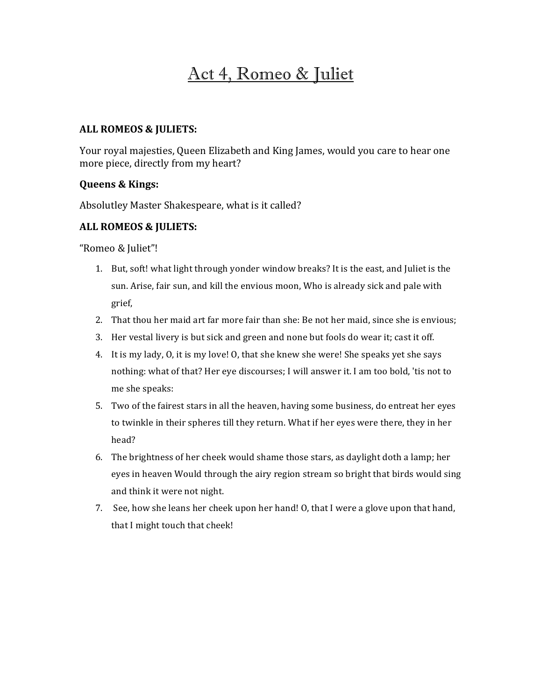### Act 4, Romeo & Juliet

### **ALL ROMEOS & JULIETS:**

Your royal majesties, Queen Elizabeth and King James, would you care to hear one more piece, directly from my heart?

### **Queens & Kings:**

Absolutley Master Shakespeare, what is it called?

### **ALL ROMEOS & JULIETS:**

"Romeo & Juliet"!

- 1. But, soft! what light through yonder window breaks? It is the east, and Juliet is the sun. Arise, fair sun, and kill the envious moon, Who is already sick and pale with grief,
- 2. That thou her maid art far more fair than she: Be not her maid, since she is envious;
- 3. Her vestal livery is but sick and green and none but fools do wear it; cast it off.
- 4. It is my lady, 0, it is my love! 0, that she knew she were! She speaks yet she says nothing: what of that? Her eye discourses; I will answer it. I am too bold, 'tis not to me she speaks:
- 5. Two of the fairest stars in all the heaven, having some business, do entreat her eyes to twinkle in their spheres till they return. What if her eyes were there, they in her head?
- 6. The brightness of her cheek would shame those stars, as daylight doth a lamp; her eyes in heaven Would through the airy region stream so bright that birds would sing and think it were not night.
- 7. See, how she leans her cheek upon her hand!  $O$ , that I were a glove upon that hand, that I might touch that cheek!